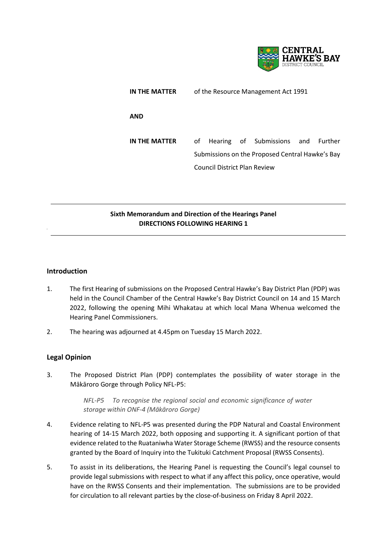

| IN THE MATTER | of the Resource Management Act 1991 |  |  |                                                                                       |  |  |
|---------------|-------------------------------------|--|--|---------------------------------------------------------------------------------------|--|--|
| <b>AND</b>    |                                     |  |  |                                                                                       |  |  |
| IN THE MATTER | of                                  |  |  | Hearing of Submissions and Further<br>Submissions on the Proposed Central Hawke's Bay |  |  |
|               | <b>Council District Plan Review</b> |  |  |                                                                                       |  |  |

# **Sixth Memorandum and Direction of the Hearings Panel DIRECTIONS FOLLOWING HEARING 1**

### **Introduction**

- 1. The first Hearing of submissions on the Proposed Central Hawke's Bay District Plan (PDP) was held in the Council Chamber of the Central Hawke's Bay District Council on 14 and 15 March 2022, following the opening Mihi Whakatau at which local Mana Whenua welcomed the Hearing Panel Commissioners.
- 2. The hearing was adjourned at 4.45pm on Tuesday 15 March 2022.

### **Legal Opinion**

3. The Proposed District Plan (PDP) contemplates the possibility of water storage in the Mākāroro Gorge through Policy NFL-P5:

> *NFL-P5 To recognise the regional social and economic significance of water storage within ONF-4 (Mākāroro Gorge)*

- 4. Evidence relating to NFL-P5 was presented during the PDP Natural and Coastal Environment hearing of 14-15 March 2022, both opposing and supporting it. A significant portion of that evidence related to the Ruataniwha Water Storage Scheme (RWSS) and the resource consents granted by the Board of Inquiry into the Tukituki Catchment Proposal (RWSS Consents).
- 5. To assist in its deliberations, the Hearing Panel is requesting the Council's legal counsel to provide legal submissions with respect to what if any affect this policy, once operative, would have on the RWSS Consents and their implementation. The submissions are to be provided for circulation to all relevant parties by the close-of-business on Friday 8 April 2022.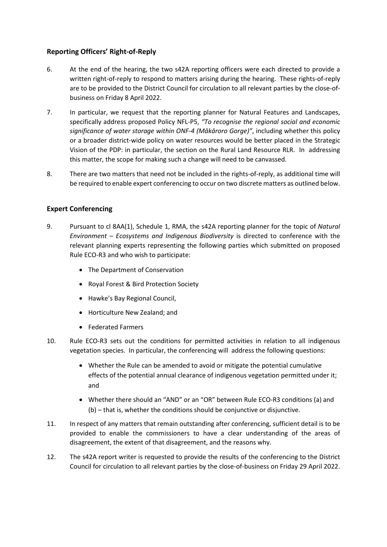## **Reporting Officers' Right-of-Reply**

- 6. At the end of the hearing, the two s42A reporting officers were each directed to provide a written right-of-reply to respond to matters arising during the hearing. These rights-of-reply are to be provided to the District Council for circulation to all relevant parties by the close-ofbusiness on Friday 8 April 2022.
- 7. In particular, we request that the reporting planner for Natural Features and Landscapes, specifically address proposed Policy NFL-P5, *"To recognise the regional social and economic significance of water storage within ONF-4 (Mākāroro Gorge)"*, including whether this policy or a broader district-wide policy on water resources would be better placed in the Strategic Vision of the PDP: in particular, the section on the Rural Land Resource RLR. In addressing this matter, the scope for making such a change will need to be canvassed.
- 8. There are two matters that need not be included in the rights-of-reply, as additional time will be required to enable expert conferencing to occur on two discrete matters as outlined below.

## **Expert Conferencing**

- 9. Pursuant to cl 8AA(1), Schedule 1, RMA, the s42A reporting planner for the topic of *Natural Environment – Ecosystems and Indigenous Biodiversity* is directed to conference with the relevant planning experts representing the following parties which submitted on proposed Rule ECO-R3 and who wish to participate:
	- The Department of Conservation
	- Royal Forest & Bird Protection Society
	- Hawke's Bay Regional Council,
	- Horticulture New Zealand; and
	- Federated Farmers
- 10. Rule ECO-R3 sets out the conditions for permitted activities in relation to all indigenous vegetation species. In particular, the conferencing will address the following questions:
	- Whether the Rule can be amended to avoid or mitigate the potential cumulative effects of the potential annual clearance of indigenous vegetation permitted under it; and
	- Whether there should an "AND" or an "OR" between Rule ECO-R3 conditions (a) and (b) – that is, whether the conditions should be conjunctive or disjunctive.
- 11. In respect of any matters that remain outstanding after conferencing, sufficient detail is to be provided to enable the commissioners to have a clear understanding of the areas of disagreement, the extent of that disagreement, and the reasons why.
- 12. The s42A report writer is requested to provide the results of the conferencing to the District Council for circulation to all relevant parties by the close-of-business on Friday 29 April 2022.